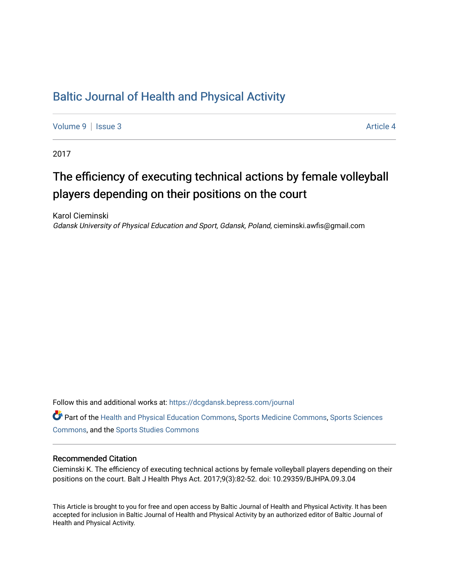## [Baltic Journal of Health and Physical Activity](https://dcgdansk.bepress.com/journal)

[Volume 9](https://dcgdansk.bepress.com/journal/vol9) | [Issue 3](https://dcgdansk.bepress.com/journal/vol9/iss3) Article 4

2017

## The efficiency of executing technical actions by female volleyball players depending on their positions on the court

Karol Cieminski Gdansk University of Physical Education and Sport, Gdansk, Poland, cieminski.awfis@gmail.com

Follow this and additional works at: [https://dcgdansk.bepress.com/journal](https://dcgdansk.bepress.com/journal?utm_source=dcgdansk.bepress.com%2Fjournal%2Fvol9%2Fiss3%2F4&utm_medium=PDF&utm_campaign=PDFCoverPages)

Part of the [Health and Physical Education Commons](http://network.bepress.com/hgg/discipline/1327?utm_source=dcgdansk.bepress.com%2Fjournal%2Fvol9%2Fiss3%2F4&utm_medium=PDF&utm_campaign=PDFCoverPages), [Sports Medicine Commons,](http://network.bepress.com/hgg/discipline/1331?utm_source=dcgdansk.bepress.com%2Fjournal%2Fvol9%2Fiss3%2F4&utm_medium=PDF&utm_campaign=PDFCoverPages) [Sports Sciences](http://network.bepress.com/hgg/discipline/759?utm_source=dcgdansk.bepress.com%2Fjournal%2Fvol9%2Fiss3%2F4&utm_medium=PDF&utm_campaign=PDFCoverPages) [Commons](http://network.bepress.com/hgg/discipline/759?utm_source=dcgdansk.bepress.com%2Fjournal%2Fvol9%2Fiss3%2F4&utm_medium=PDF&utm_campaign=PDFCoverPages), and the [Sports Studies Commons](http://network.bepress.com/hgg/discipline/1198?utm_source=dcgdansk.bepress.com%2Fjournal%2Fvol9%2Fiss3%2F4&utm_medium=PDF&utm_campaign=PDFCoverPages) 

#### Recommended Citation

Cieminski K. The efficiency of executing technical actions by female volleyball players depending on their positions on the court. Balt J Health Phys Act. 2017;9(3):82-52. doi: 10.29359/BJHPA.09.3.04

This Article is brought to you for free and open access by Baltic Journal of Health and Physical Activity. It has been accepted for inclusion in Baltic Journal of Health and Physical Activity by an authorized editor of Baltic Journal of Health and Physical Activity.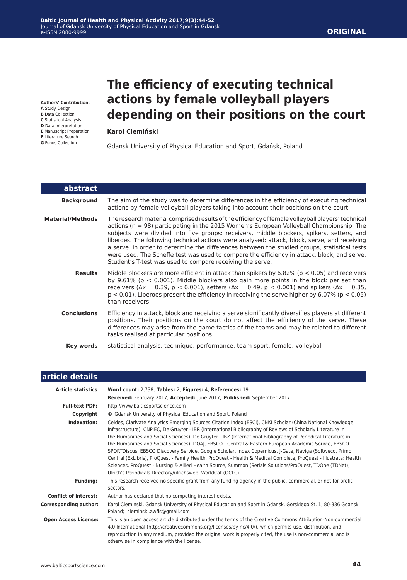**Authors' Contribution: A** Study Design

- **B** Data Collection
- **C** Statistical Analysis
- **D** Data Interpretation
- **E** Manuscript Preparation
- **F** Literature Search **G** Funds Collection

# **The efficiency of executing technical actions by female volleyball players depending on their positions on the court**

#### **Karol Ciemiński**

Gdansk University of Physical Education and Sport, Gdańsk, Poland

| abstract                |                                                                                                                                                                                                                                                                                                                                                                                                                                                                                                                                                                                                                                                            |
|-------------------------|------------------------------------------------------------------------------------------------------------------------------------------------------------------------------------------------------------------------------------------------------------------------------------------------------------------------------------------------------------------------------------------------------------------------------------------------------------------------------------------------------------------------------------------------------------------------------------------------------------------------------------------------------------|
| <b>Background</b>       | The aim of the study was to determine differences in the efficiency of executing technical<br>actions by female volleyball players taking into account their positions on the court.                                                                                                                                                                                                                                                                                                                                                                                                                                                                       |
| <b>Material/Methods</b> | The research material comprised results of the efficiency of female volleyball players' technical<br>actions ( $n = 98$ ) participating in the 2015 Women's European Volleyball Championship. The<br>subjects were divided into five groups: receivers, middle blockers, spikers, setters, and<br>liberoes. The following technical actions were analysed: attack, block, serve, and receiving<br>a serve. In order to determine the differences between the studied groups, statistical tests<br>were used. The Scheffe test was used to compare the efficiency in attack, block, and serve.<br>Student's T-test was used to compare receiving the serve. |
| <b>Results</b>          | Middle blockers are more efficient in attack than spikers by $6.82\%$ ( $p < 0.05$ ) and receivers<br>by $9.61\%$ ( $p < 0.001$ ). Middle blockers also gain more points in the block per set than<br>receivers ( $\Delta x = 0.39$ , p < 0.001), setters ( $\Delta x = 0.49$ , p < 0.001) and spikers ( $\Delta x = 0.35$ ,<br>$p < 0.01$ ). Liberoes present the efficiency in receiving the serve higher by 6.07% ( $p < 0.05$ )<br>than receivers.                                                                                                                                                                                                     |
| <b>Conclusions</b>      | Efficiency in attack, block and receiving a serve significantly diversifies players at different<br>positions. Their positions on the court do not affect the efficiency of the serve. These<br>differences may arise from the game tactics of the teams and may be related to different<br>tasks realised at particular positions.                                                                                                                                                                                                                                                                                                                        |
| Key words               | statistical analysis, technique, performance, team sport, female, volleyball                                                                                                                                                                                                                                                                                                                                                                                                                                                                                                                                                                               |

| article details              |                                                                                                                                                                                                                                                                                                                                                                                                                                                                                                                                                                                                                                                                                                                                                                                                                                                               |  |  |  |  |  |  |  |  |
|------------------------------|---------------------------------------------------------------------------------------------------------------------------------------------------------------------------------------------------------------------------------------------------------------------------------------------------------------------------------------------------------------------------------------------------------------------------------------------------------------------------------------------------------------------------------------------------------------------------------------------------------------------------------------------------------------------------------------------------------------------------------------------------------------------------------------------------------------------------------------------------------------|--|--|--|--|--|--|--|--|
| <b>Article statistics</b>    | Word count: 2,738; Tables: 2; Figures: 4; References: 19                                                                                                                                                                                                                                                                                                                                                                                                                                                                                                                                                                                                                                                                                                                                                                                                      |  |  |  |  |  |  |  |  |
|                              | Received: February 2017; Accepted: June 2017; Published: September 2017                                                                                                                                                                                                                                                                                                                                                                                                                                                                                                                                                                                                                                                                                                                                                                                       |  |  |  |  |  |  |  |  |
| <b>Full-text PDF:</b>        | http://www.balticsportscience.com                                                                                                                                                                                                                                                                                                                                                                                                                                                                                                                                                                                                                                                                                                                                                                                                                             |  |  |  |  |  |  |  |  |
| Copyright                    | © Gdansk University of Physical Education and Sport, Poland                                                                                                                                                                                                                                                                                                                                                                                                                                                                                                                                                                                                                                                                                                                                                                                                   |  |  |  |  |  |  |  |  |
| Indexation:                  | Celdes, Clarivate Analytics Emerging Sources Citation Index (ESCI), CNKI Scholar (China National Knowledge<br>Infrastructure), CNPIEC, De Gruyter - IBR (International Bibliography of Reviews of Scholarly Literature in<br>the Humanities and Social Sciences), De Gruyter - IBZ (International Bibliography of Periodical Literature in<br>the Humanities and Social Sciences), DOAJ, EBSCO - Central & Eastern European Academic Source, EBSCO -<br>SPORTDiscus, EBSCO Discovery Service, Google Scholar, Index Copernicus, J-Gate, Naviga (Softweco, Primo<br>Central (ExLibris), ProQuest - Family Health, ProQuest - Health & Medical Complete, ProQuest - Illustrata: Health<br>Sciences, ProQuest - Nursing & Allied Health Source, Summon (Serials Solutions/ProQuest, TDOne (TDNet),<br>Ulrich's Periodicals Directory/ulrichsweb, WorldCat (OCLC) |  |  |  |  |  |  |  |  |
| <b>Funding:</b>              | This research received no specific grant from any funding agency in the public, commercial, or not-for-profit<br>sectors.                                                                                                                                                                                                                                                                                                                                                                                                                                                                                                                                                                                                                                                                                                                                     |  |  |  |  |  |  |  |  |
| <b>Conflict of interest:</b> | Author has declared that no competing interest exists.                                                                                                                                                                                                                                                                                                                                                                                                                                                                                                                                                                                                                                                                                                                                                                                                        |  |  |  |  |  |  |  |  |
| <b>Corresponding author:</b> | Karol Ciemiński, Gdansk University of Physical Education and Sport in Gdansk, Gorskiego St. 1, 80-336 Gdansk,<br>Poland; cieminski.awfis@gmail.com                                                                                                                                                                                                                                                                                                                                                                                                                                                                                                                                                                                                                                                                                                            |  |  |  |  |  |  |  |  |
| <b>Open Access License:</b>  | This is an open access article distributed under the terms of the Creative Commons Attribution-Non-commercial<br>4.0 International (http://creativecommons.org/licenses/by-nc/4.0/), which permits use, distribution, and<br>reproduction in any medium, provided the original work is properly cited, the use is non-commercial and is<br>otherwise in compliance with the license.                                                                                                                                                                                                                                                                                                                                                                                                                                                                          |  |  |  |  |  |  |  |  |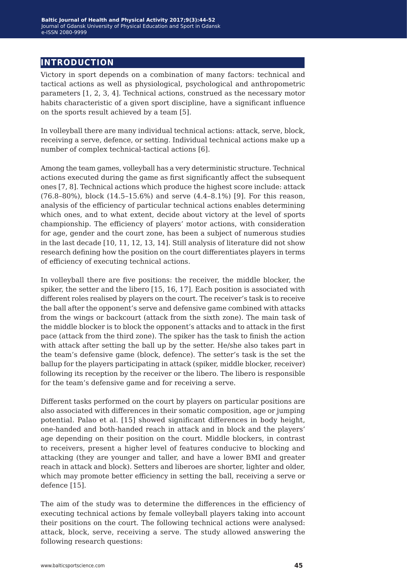## **introduction**

Victory in sport depends on a combination of many factors: technical and tactical actions as well as physiological, psychological and anthropometric parameters [1, 2, 3, 4]. Technical actions, construed as the necessary motor habits characteristic of a given sport discipline, have a significant influence on the sports result achieved by a team [5].

In volleyball there are many individual technical actions: attack, serve, block, receiving a serve, defence, or setting. Individual technical actions make up a number of complex technical-tactical actions [6].

Among the team games, volleyball has a very deterministic structure. Technical actions executed during the game as first significantly affect the subsequent ones [7, 8]. Technical actions which produce the highest score include: attack (76.8–80%), block (14.5–15.6%) and serve (4.4–8.1%) [9]. For this reason, analysis of the efficiency of particular technical actions enables determining which ones, and to what extent, decide about victory at the level of sports championship. The efficiency of players' motor actions, with consideration for age, gender and the court zone, has been a subject of numerous studies in the last decade [10, 11, 12, 13, 14]. Still analysis of literature did not show research defining how the position on the court differentiates players in terms of efficiency of executing technical actions.

In volleyball there are five positions: the receiver, the middle blocker, the spiker, the setter and the libero [15, 16, 17]. Each position is associated with different roles realised by players on the court. The receiver's task is to receive the ball after the opponent's serve and defensive game combined with attacks from the wings or backcourt (attack from the sixth zone). The main task of the middle blocker is to block the opponent's attacks and to attack in the first pace (attack from the third zone). The spiker has the task to finish the action with attack after setting the ball up by the setter. He/she also takes part in the team's defensive game (block, defence). The setter's task is the set the ballup for the players participating in attack (spiker, middle blocker, receiver) following its reception by the receiver or the libero. The libero is responsible for the team's defensive game and for receiving a serve.

Different tasks performed on the court by players on particular positions are also associated with differences in their somatic composition, age or jumping potential. Palao et al. [15] showed significant differences in body height, one-handed and both-handed reach in attack and in block and the players' age depending on their position on the court. Middle blockers, in contrast to receivers, present a higher level of features conducive to blocking and attacking (they are younger and taller, and have a lower BMI and greater reach in attack and block). Setters and liberoes are shorter, lighter and older, which may promote better efficiency in setting the ball, receiving a serve or defence [15].

The aim of the study was to determine the differences in the efficiency of executing technical actions by female volleyball players taking into account their positions on the court. The following technical actions were analysed: attack, block, serve, receiving a serve. The study allowed answering the following research questions: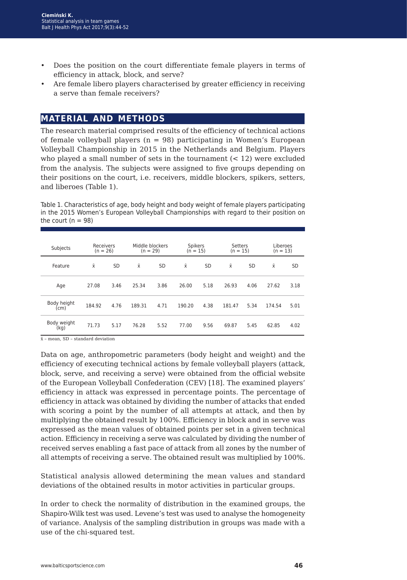- Does the position on the court differentiate female players in terms of efficiency in attack, block, and serve?
- Are female libero players characterised by greater efficiency in receiving a serve than female receivers?

## **material and methods**

The research material comprised results of the efficiency of technical actions of female volleyball players  $(n = 98)$  participating in Women's European Volleyball Championship in 2015 in the Netherlands and Belgium. Players who played a small number of sets in the tournament  $(< 12)$  were excluded from the analysis. The subjects were assigned to five groups depending on their positions on the court, i.e. receivers, middle blockers, spikers, setters, and liberoes (Table 1).

Table 1. Characteristics of age, body height and body weight of female players participating in the 2015 Women's European Volleyball Championships with regard to their position on the court ( $n = 98$ )

| Subjects            | Receivers<br>$(n = 26)$ |           | Middle blockers<br>$(n = 29)$ |           | <b>Spikers</b><br>$(n = 15)$ |           | Setters<br>$(n = 15)$ |           | Liberoes<br>$(n = 13)$ |      |
|---------------------|-------------------------|-----------|-------------------------------|-----------|------------------------------|-----------|-----------------------|-----------|------------------------|------|
| Feature             | $\bar{x}$               | <b>SD</b> | Χī                            | <b>SD</b> | $\bar{x}$                    | <b>SD</b> | $\bar{x}$             | <b>SD</b> | Χī                     | SD   |
| Age                 | 27.08                   | 3.46      | 25.34                         | 3.86      | 26.00                        | 5.18      | 26.93                 | 4.06      | 27.62                  | 3.18 |
| Body height<br>(cm) | 184.92                  | 4.76      | 189.31                        | 4.71      | 190.20                       | 4.38      | 181.47                | 5.34      | 174.54                 | 5.01 |
| Body weight<br>(kq) | 71.73                   | 5.17      | 76.28                         | 5.52      | 77.00                        | 9.56      | 69.87                 | 5.45      | 62.85                  | 4.02 |

x̄ – mean, SD – standard deviation

Data on age, anthropometric parameters (body height and weight) and the efficiency of executing technical actions by female volleyball players (attack, block, serve, and receiving a serve) were obtained from the official website of the European Volleyball Confederation (CEV) [18]. The examined players' efficiency in attack was expressed in percentage points. The percentage of efficiency in attack was obtained by dividing the number of attacks that ended with scoring a point by the number of all attempts at attack, and then by multiplying the obtained result by 100%. Efficiency in block and in serve was expressed as the mean values of obtained points per set in a given technical action. Efficiency in receiving a serve was calculated by dividing the number of received serves enabling a fast pace of attack from all zones by the number of all attempts of receiving a serve. The obtained result was multiplied by 100%.

Statistical analysis allowed determining the mean values and standard deviations of the obtained results in motor activities in particular groups.

In order to check the normality of distribution in the examined groups, the Shapiro-Wilk test was used. Levene's test was used to analyse the homogeneity of variance. Analysis of the sampling distribution in groups was made with a use of the chi-squared test.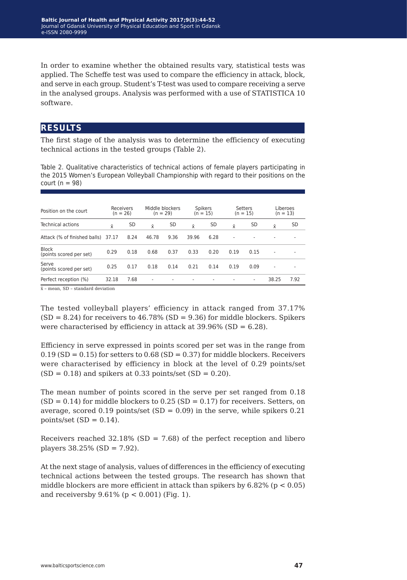In order to examine whether the obtained results vary, statistical tests was applied. The Scheffe test was used to compare the efficiency in attack, block, and serve in each group. Student's T-test was used to compare receiving a serve in the analysed groups. Analysis was performed with a use of STATISTICA 10 software.

### **results**

The first stage of the analysis was to determine the efficiency of executing technical actions in the tested groups (Table 2).

Table 2. Qualitative characteristics of technical actions of female players participating in the 2015 Women's European Volleyball Championship with regard to their positions on the court ( $n = 98$ )

| Position on the court                   | Receivers<br>$(n = 26)$ |      | Middle blockers<br>$(n = 29)$ |                                     | <b>Spikers</b><br>$(n = 15)$ |      | Setters<br>$(n = 15)$ |                          | Liberoes<br>$(n = 13)$ |      |  |  |  |
|-----------------------------------------|-------------------------|------|-------------------------------|-------------------------------------|------------------------------|------|-----------------------|--------------------------|------------------------|------|--|--|--|
| Technical actions                       | $\bar{x}$               | SD   | $\bar{x}$                     | SD                                  | $\bar{x}$                    | SD   | $\bar{x}$             | SD                       | $\bar{x}$              | SD   |  |  |  |
| Attack (% of finished balls)            | 37.17                   | 8.24 | 46.78                         | 9.36                                | 39.96                        | 6.28 | ۰                     | $\overline{a}$           | ۰                      |      |  |  |  |
| <b>Block</b><br>(points scored per set) | 0.29                    | 0.18 | 0.68                          | 0.37                                | 0.33                         | 0.20 | 0.19                  | 0.15                     | ٠                      |      |  |  |  |
| Serve<br>(points scored per set)        | 0.25                    | 0.17 | 0.18                          | 0.14                                | 0.21                         | 0.14 | 0.19                  | 0.09                     | ۰                      |      |  |  |  |
| Perfect reception (%)                   | 32.18                   | 7.68 | $\overline{\phantom{a}}$      | ۰                                   | $\overline{\phantom{a}}$     |      |                       | $\overline{\phantom{a}}$ | 38.25                  | 7.92 |  |  |  |
|                                         |                         |      |                               | $\sim$ 000 $\sim$ 1 1 $\sim$ $\sim$ |                              |      |                       |                          |                        |      |  |  |  |

 $\bar{x}$  – mean, SD – standard deviation

The tested volleyball players' efficiency in attack ranged from 37.17%  $(SD = 8.24)$  for receivers to 46.78%  $(SD = 9.36)$  for middle blockers. Spikers were characterised by efficiency in attack at  $39.96\%$  (SD = 6.28).

Efficiency in serve expressed in points scored per set was in the range from  $0.19$  (SD = 0.15) for setters to  $0.68$  (SD = 0.37) for middle blockers. Receivers were characterised by efficiency in block at the level of 0.29 points/set  $(SD = 0.18)$  and spikers at 0.33 points/set  $(SD = 0.20)$ .

The mean number of points scored in the serve per set ranged from 0.18  $(SD = 0.14)$  for middle blockers to 0.25  $(SD = 0.17)$  for receivers. Setters, on average, scored 0.19 points/set  $(SD = 0.09)$  in the serve, while spikers 0.21 points/set  $(SD = 0.14)$ .

Receivers reached  $32.18\%$  (SD = 7.68) of the perfect reception and libero players  $38.25\%$  (SD = 7.92).

At the next stage of analysis, values of differences in the efficiency of executing technical actions between the tested groups. The research has shown that middle blockers are more efficient in attack than spikers by  $6.82\%$  (p < 0.05) and receiversby  $9.61\%$  (p < 0.001) (Fig. 1).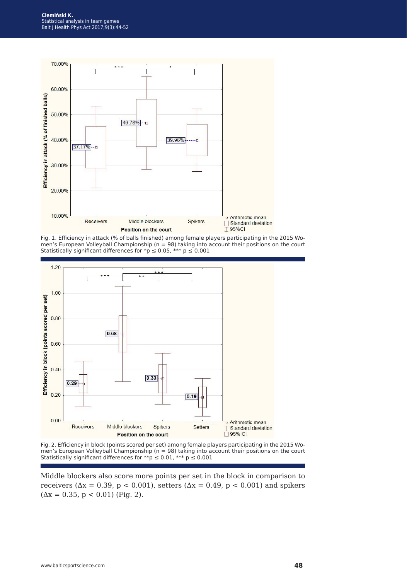

Fig. 1. Efficiency in attack (% of balls finished) among female players participating in the 2015 Women's European Volleyball Championship (n = 98) taking into account their positions on the court Statistically significant differences for \*p  $\leq$  0.05, \*\*\* p  $\leq$  0.001



Fig. 2. Efficiency in block (points scored per set) among female players participating in the 2015 Women's European Volleyball Championship (n = 98) taking into account their positions on the court Statistically significant differences for \*\*p  $\leq$  0.01, \*\*\* p  $\leq$  0.001

Middle blockers also score more points per set in the block in comparison to receivers ( $\Delta x = 0.39$ , p < 0.001), setters ( $\Delta x = 0.49$ , p < 0.001) and spikers  $(\Delta x = 0.35, p < 0.01)$  (Fig. 2).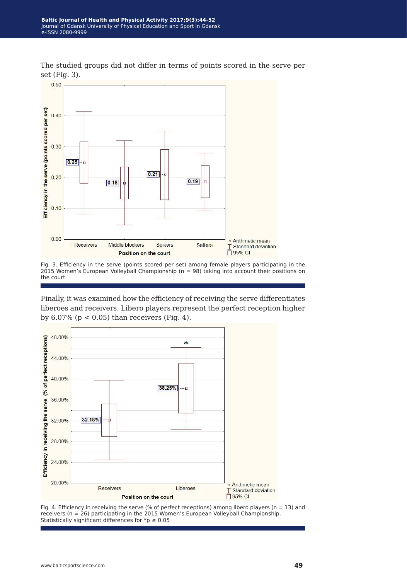The studied groups did not differ in terms of points scored in the serve per set (Fig. 3).



Fig. 3. Efficiency in the serve (points scored per set) among female players participating in the 2015 Women's European Volleyball Championship (n = 98) taking into account their positions on the court

Finally, it was examined how the efficiency of receiving the serve differentiates liberoes and receivers. Libero players represent the perfect reception higher by  $6.07\%$  ( $p < 0.05$ ) than receivers (Fig. 4).



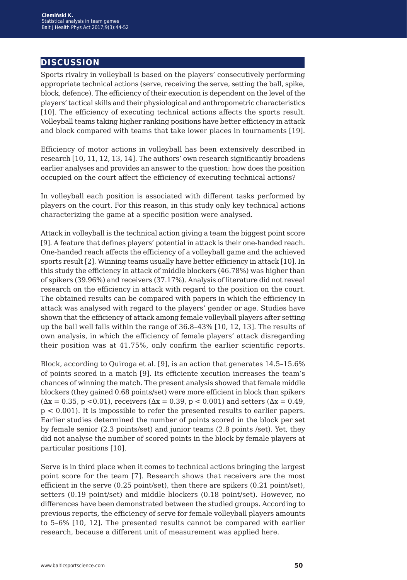### **discussion**

Sports rivalry in volleyball is based on the players' consecutively performing appropriate technical actions (serve, receiving the serve, setting the ball, spike, block, defence). The efficiency of their execution is dependent on the level of the players' tactical skills and their physiological and anthropometric characteristics [10]. The efficiency of executing technical actions affects the sports result. Volleyball teams taking higher ranking positions have better efficiency in attack and block compared with teams that take lower places in tournaments [19].

Efficiency of motor actions in volleyball has been extensively described in research [10, 11, 12, 13, 14]. The authors' own research significantly broadens earlier analyses and provides an answer to the question: how does the position occupied on the court affect the efficiency of executing technical actions?

In volleyball each position is associated with different tasks performed by players on the court. For this reason, in this study only key technical actions characterizing the game at a specific position were analysed.

Attack in volleyball is the technical action giving a team the biggest point score [9]. A feature that defines players' potential in attack is their one-handed reach. One-handed reach affects the efficiency of a volleyball game and the achieved sports result [2]. Winning teams usually have better efficiency in attack [10]. In this study the efficiency in attack of middle blockers (46.78%) was higher than of spikers (39.96%) and receivers (37.17%). Analysis of literature did not reveal research on the efficiency in attack with regard to the position on the court. The obtained results can be compared with papers in which the efficiency in attack was analysed with regard to the players' gender or age. Studies have shown that the efficiency of attack among female volleyball players after setting up the ball well falls within the range of 36.8–43% [10, 12, 13]. The results of own analysis, in which the efficiency of female players' attack disregarding their position was at 41.75%, only confirm the earlier scientific reports.

Block, according to Quiroga et al. [9], is an action that generates 14.5–15.6% of points scored in a match [9]. Its efficiente xecution increases the team's chances of winning the match. The present analysis showed that female middle blockers (they gained 0.68 points/set) were more efficient in block than spikers  $(\Delta x = 0.35, p \le 0.01)$ , receivers  $(\Delta x = 0.39, p \le 0.001)$  and setters  $(\Delta x = 0.49, p \le 0.001)$ p < 0.001). It is impossible to refer the presented results to earlier papers. Earlier studies determined the number of points scored in the block per set by female senior (2.3 points/set) and junior teams (2.8 points /set). Yet, they did not analyse the number of scored points in the block by female players at particular positions [10].

Serve is in third place when it comes to technical actions bringing the largest point score for the team [7]. Research shows that receivers are the most efficient in the serve (0.25 point/set), then there are spikers (0.21 point/set), setters (0.19 point/set) and middle blockers (0.18 point/set). However, no differences have been demonstrated between the studied groups. According to previous reports, the efficiency of serve for female volleyball players amounts to 5–6% [10, 12]. The presented results cannot be compared with earlier research, because a different unit of measurement was applied here.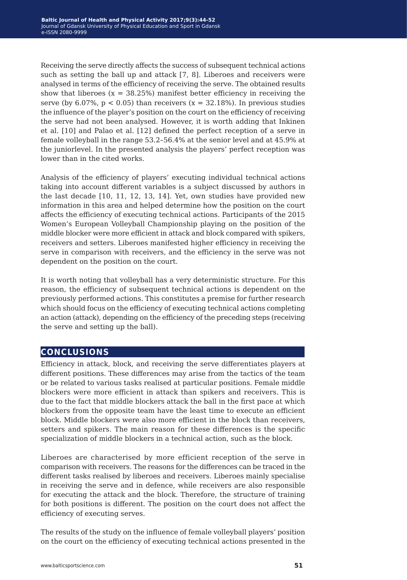Receiving the serve directly affects the success of subsequent technical actions such as setting the ball up and attack [7, 8]. Liberoes and receivers were analysed in terms of the efficiency of receiving the serve. The obtained results show that liberoes  $(x = 38.25\%)$  manifest better efficiency in receiving the serve (by 6.07%,  $p < 0.05$ ) than receivers (x = 32.18%). In previous studies the influence of the player's position on the court on the efficiency of receiving the serve had not been analysed. However, it is worth adding that Inkinen et al. [10] and Palao et al. [12] defined the perfect reception of a serve in female volleyball in the range 53.2–56.4% at the senior level and at 45.9% at the juniorlevel. In the presented analysis the players' perfect reception was lower than in the cited works.

Analysis of the efficiency of players' executing individual technical actions taking into account different variables is a subject discussed by authors in the last decade [10, 11, 12, 13, 14]. Yet, own studies have provided new information in this area and helped determine how the position on the court affects the efficiency of executing technical actions. Participants of the 2015 Women's European Volleyball Championship playing on the position of the middle blocker were more efficient in attack and block compared with spikers, receivers and setters. Liberoes manifested higher efficiency in receiving the serve in comparison with receivers, and the efficiency in the serve was not dependent on the position on the court.

It is worth noting that volleyball has a very deterministic structure. For this reason, the efficiency of subsequent technical actions is dependent on the previously performed actions. This constitutes a premise for further research which should focus on the efficiency of executing technical actions completing an action (attack), depending on the efficiency of the preceding steps (receiving the serve and setting up the ball).

### **conclusions**

Efficiency in attack, block, and receiving the serve differentiates players at different positions. These differences may arise from the tactics of the team or be related to various tasks realised at particular positions. Female middle blockers were more efficient in attack than spikers and receivers. This is due to the fact that middle blockers attack the ball in the first pace at which blockers from the opposite team have the least time to execute an efficient block. Middle blockers were also more efficient in the block than receivers, setters and spikers. The main reason for these differences is the specific specialization of middle blockers in a technical action, such as the block.

Liberoes are characterised by more efficient reception of the serve in comparison with receivers. The reasons for the differences can be traced in the different tasks realised by liberoes and receivers. Liberoes mainly specialise in receiving the serve and in defence, while receivers are also responsible for executing the attack and the block. Therefore, the structure of training for both positions is different. The position on the court does not affect the efficiency of executing serves.

The results of the study on the influence of female volleyball players' position on the court on the efficiency of executing technical actions presented in the